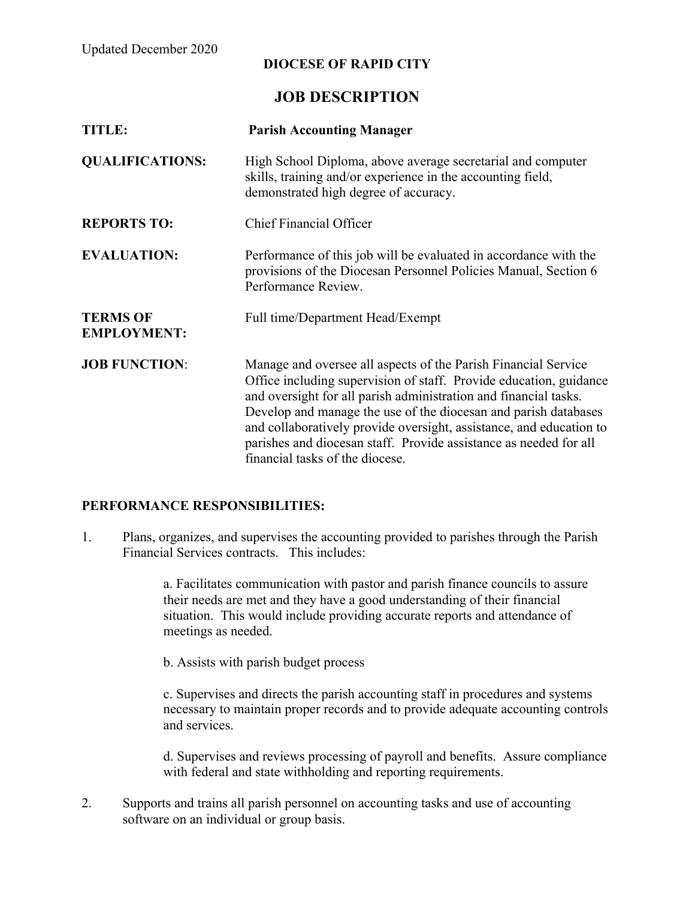Updated December 2020

## **DIOCESE OF RAPID CITY**

## **JOB DESCRIPTION**

| <b>TITLE:</b>                         | <b>Parish Accounting Manager</b>                                                                                                                                                                                                                                                                                                                                                                                                                           |
|---------------------------------------|------------------------------------------------------------------------------------------------------------------------------------------------------------------------------------------------------------------------------------------------------------------------------------------------------------------------------------------------------------------------------------------------------------------------------------------------------------|
| <b>QUALIFICATIONS:</b>                | High School Diploma, above average secretarial and computer<br>skills, training and/or experience in the accounting field,<br>demonstrated high degree of accuracy.                                                                                                                                                                                                                                                                                        |
| <b>REPORTS TO:</b>                    | <b>Chief Financial Officer</b>                                                                                                                                                                                                                                                                                                                                                                                                                             |
| <b>EVALUATION:</b>                    | Performance of this job will be evaluated in accordance with the<br>provisions of the Diocesan Personnel Policies Manual, Section 6<br>Performance Review.                                                                                                                                                                                                                                                                                                 |
| <b>TERMS OF</b><br><b>EMPLOYMENT:</b> | Full time/Department Head/Exempt                                                                                                                                                                                                                                                                                                                                                                                                                           |
| <b>JOB FUNCTION:</b>                  | Manage and oversee all aspects of the Parish Financial Service<br>Office including supervision of staff. Provide education, guidance<br>and oversight for all parish administration and financial tasks.<br>Develop and manage the use of the diocesan and parish databases<br>and collaboratively provide oversight, assistance, and education to<br>parishes and diocesan staff. Provide assistance as needed for all<br>financial tasks of the diocese. |

## **PERFORMANCE RESPONSIBILITIES:**

1. Plans, organizes, and supervises the accounting provided to parishes through the Parish Financial Services contracts. This includes:

> a. Facilitates communication with pastor and parish finance councils to assure their needs are met and they have a good understanding of their financial situation. This would include providing accurate reports and attendance of meetings as needed.

b. Assists with parish budget process

c. Supervises and directs the parish accounting staff in procedures and systems necessary to maintain proper records and to provide adequate accounting controls and services.

d. Supervises and reviews processing of payroll and benefits. Assure compliance with federal and state withholding and reporting requirements.

2. Supports and trains all parish personnel on accounting tasks and use of accounting software on an individual or group basis.